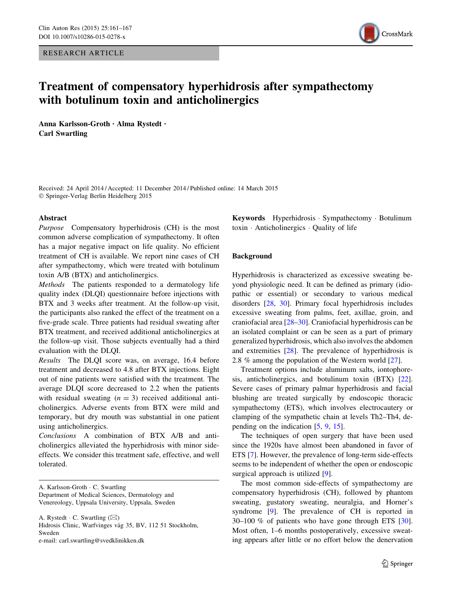RESEARCH ARTICLE



# Treatment of compensatory hyperhidrosis after sympathectomy with botulinum toxin and anticholinergics

Anna Karlsson-Groth • Alma Rystedt • Carl Swartling

Received: 24 April 2014 / Accepted: 11 December 2014 / Published online: 14 March 2015 - Springer-Verlag Berlin Heidelberg 2015

### Abstract

Purpose Compensatory hyperhidrosis (CH) is the most common adverse complication of sympathectomy. It often has a major negative impact on life quality. No efficient treatment of CH is available. We report nine cases of CH after sympathectomy, which were treated with botulinum toxin A/B (BTX) and anticholinergics.

Methods The patients responded to a dermatology life quality index (DLQI) questionnaire before injections with BTX and 3 weeks after treatment. At the follow-up visit, the participants also ranked the effect of the treatment on a five-grade scale. Three patients had residual sweating after BTX treatment, and received additional anticholinergics at the follow-up visit. Those subjects eventually had a third evaluation with the DLQI.

Results The DLQI score was, on average, 16.4 before treatment and decreased to 4.8 after BTX injections. Eight out of nine patients were satisfied with the treatment. The average DLQI score decreased to 2.2 when the patients with residual sweating  $(n = 3)$  received additional anticholinergics. Adverse events from BTX were mild and temporary, but dry mouth was substantial in one patient using anticholinergics.

Conclusions A combination of BTX A/B and anticholinergics alleviated the hyperhidrosis with minor sideeffects. We consider this treatment safe, effective, and well tolerated.

A. Karlsson-Groth - C. Swartling Department of Medical Sciences, Dermatology and Venereology, Uppsala University, Uppsala, Sweden

A. Rystedt  $\cdot$  C. Swartling ( $\boxtimes$ ) Hidrosis Clinic, Warfvinges väg 35, BV, 112 51 Stockholm, Sweden e-mail: carl.swartling@svedklinikken.dk

Keywords Hyperhidrosis · Sympathectomy · Botulinum toxin - Anticholinergics - Quality of life

## Background

Hyperhidrosis is characterized as excessive sweating beyond physiologic need. It can be defined as primary (idiopathic or essential) or secondary to various medical disorders [\[28](#page-5-0), [30](#page-6-0)]. Primary focal hyperhidrosis includes excessive sweating from palms, feet, axillae, groin, and craniofacial area [[28–](#page-5-0)[30\]](#page-6-0). Craniofacial hyperhidrosis can be an isolated complaint or can be seen as a part of primary generalized hyperhidrosis, which also involves the abdomen and extremities [[28](#page-5-0)]. The prevalence of hyperhidrosis is 2.8 % among the population of the Western world [[27\]](#page-5-0).

Treatment options include aluminum salts, iontophoresis, anticholinergics, and botulinum toxin (BTX) [\[22](#page-5-0)]. Severe cases of primary palmar hyperhidrosis and facial blushing are treated surgically by endoscopic thoracic sympathectomy (ETS), which involves electrocautery or clamping of the sympathetic chain at levels Th2–Th4, depending on the indication [\[5](#page-5-0), [9](#page-5-0), [15\]](#page-5-0).

The techniques of open surgery that have been used since the 1920s have almost been abandoned in favor of ETS [[7\]](#page-5-0). However, the prevalence of long-term side-effects seems to be independent of whether the open or endoscopic surgical approach is utilized [[9\]](#page-5-0).

The most common side-effects of sympathectomy are compensatory hyperhidrosis (CH), followed by phantom sweating, gustatory sweating, neuralgia, and Horner's syndrome [[9\]](#page-5-0). The prevalence of CH is reported in 30–100 % of patients who have gone through ETS [\[30](#page-6-0)]. Most often, 1–6 months postoperatively, excessive sweating appears after little or no effort below the denervation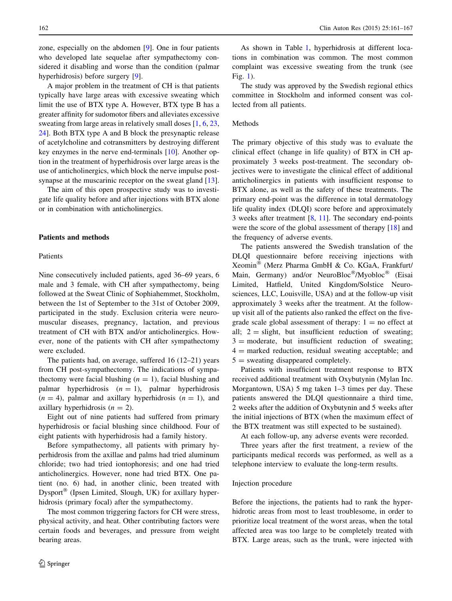zone, especially on the abdomen [\[9](#page-5-0)]. One in four patients who developed late sequelae after sympathectomy considered it disabling and worse than the condition (palmar hyperhidrosis) before surgery [[9\]](#page-5-0).

A major problem in the treatment of CH is that patients typically have large areas with excessive sweating which limit the use of BTX type A. However, BTX type B has a greater affinity for sudomotor fibers and alleviates excessive sweating from large areas in relatively small doses  $[1, 6, 23, 1]$  $[1, 6, 23, 1]$  $[1, 6, 23, 1]$  $[1, 6, 23, 1]$  $[1, 6, 23, 1]$  $[1, 6, 23, 1]$ [24](#page-5-0)]. Both BTX type A and B block the presynaptic release of acetylcholine and cotransmitters by destroying different key enzymes in the nerve end-terminals [[10\]](#page-5-0). Another option in the treatment of hyperhidrosis over large areas is the use of anticholinergics, which block the nerve impulse post-synapse at the muscarinic receptor on the sweat gland [\[13](#page-5-0)].

The aim of this open prospective study was to investigate life quality before and after injections with BTX alone or in combination with anticholinergics.

# Patients and methods

## Patients

Nine consecutively included patients, aged 36–69 years, 6 male and 3 female, with CH after sympathectomy, being followed at the Sweat Clinic of Sophiahemmet, Stockholm, between the 1st of September to the 31st of October 2009, participated in the study. Exclusion criteria were neuromuscular diseases, pregnancy, lactation, and previous treatment of CH with BTX and/or anticholinergics. However, none of the patients with CH after sympathectomy were excluded.

The patients had, on average, suffered 16 (12–21) years from CH post-sympathectomy. The indications of sympathectomy were facial blushing  $(n = 1)$ , facial blushing and palmar hyperhidrosis  $(n = 1)$ , palmar hyperhidrosis  $(n = 4)$ , palmar and axillary hyperhidrosis  $(n = 1)$ , and axillary hyperhidrosis  $(n = 2)$ .

Eight out of nine patients had suffered from primary hyperhidrosis or facial blushing since childhood. Four of eight patients with hyperhidrosis had a family history.

Before sympathectomy, all patients with primary hyperhidrosis from the axillae and palms had tried aluminum chloride; two had tried iontophoresis; and one had tried anticholinergics. However, none had tried BTX. One patient (no. 6) had, in another clinic, been treated with Dysport<sup>®</sup> (Ipsen Limited, Slough, UK) for axillary hyperhidrosis (primary focal) after the sympathectomy.

The most common triggering factors for CH were stress, physical activity, and heat. Other contributing factors were certain foods and beverages, and pressure from weight bearing areas.

As shown in Table [1](#page-2-0), hyperhidrosis at different locations in combination was common. The most common complaint was excessive sweating from the trunk (see Fig. [1](#page-2-0)).

The study was approved by the Swedish regional ethics committee in Stockholm and informed consent was collected from all patients.

# Methods

The primary objective of this study was to evaluate the clinical effect (change in life quality) of BTX in CH approximately 3 weeks post-treatment. The secondary objectives were to investigate the clinical effect of additional anticholinergics in patients with insufficient response to BTX alone, as well as the safety of these treatments. The primary end-point was the difference in total dermatology life quality index (DLQI) score before and approximately 3 weeks after treatment [\[8](#page-5-0), [11\]](#page-5-0). The secondary end-points were the score of the global assessment of therapy [[18\]](#page-5-0) and the frequency of adverse events.

The patients answered the Swedish translation of the DLQI questionnaire before receiving injections with Xeomin<sup>®</sup> (Merz Pharma GmbH & Co. KGaA, Frankfurt/ Main, Germany) and/or NeuroBloc<sup>®</sup>/Myobloc<sup>®</sup> (Eisai Limited, Hatfield, United Kingdom/Solstice Neurosciences, LLC, Louisville, USA) and at the follow-up visit approximately 3 weeks after the treatment. At the followup visit all of the patients also ranked the effect on the fivegrade scale global assessment of therapy:  $1 =$  no effect at all;  $2 =$  slight, but insufficient reduction of sweating;  $3 =$  moderate, but insufficient reduction of sweating;  $4 =$  marked reduction, residual sweating acceptable; and  $5 =$  sweating disappeared completely.

Patients with insufficient treatment response to BTX received additional treatment with Oxybutynin (Mylan Inc. Morgantown, USA) 5 mg taken 1–3 times per day. These patients answered the DLQI questionnaire a third time, 2 weeks after the addition of Oxybutynin and 5 weeks after the initial injections of BTX (when the maximum effect of the BTX treatment was still expected to be sustained).

At each follow-up, any adverse events were recorded. Three years after the first treatment, a review of the participants medical records was performed, as well as a telephone interview to evaluate the long-term results.

#### Injection procedure

Before the injections, the patients had to rank the hyperhidrotic areas from most to least troublesome, in order to prioritize local treatment of the worst areas, when the total affected area was too large to be completely treated with BTX. Large areas, such as the trunk, were injected with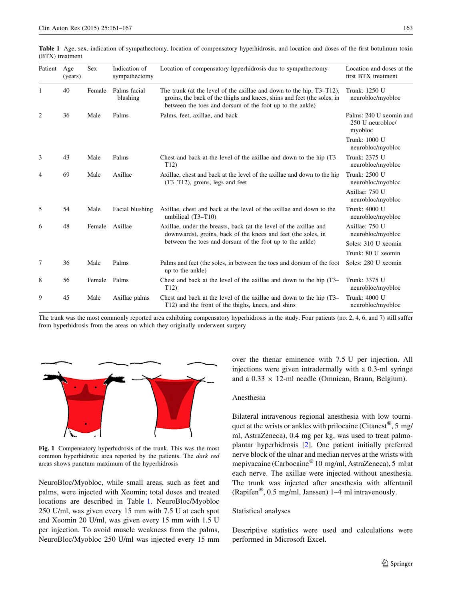<span id="page-2-0"></span>

| Patient | Age<br>(years) | <b>Sex</b> | Indication of<br>sympathectomy | Location of compensatory hyperhidrosis due to sympathectomy                                                                                                                                                 | Location and doses at the<br>first BTX treatment       |
|---------|----------------|------------|--------------------------------|-------------------------------------------------------------------------------------------------------------------------------------------------------------------------------------------------------------|--------------------------------------------------------|
| 1       | 40             | Female     | Palms facial<br>blushing       | The trunk (at the level of the axillae and down to the hip, T3–T12),<br>groins, the back of the thighs and knees, shins and feet (the soles, in<br>between the toes and dorsum of the foot up to the ankle) | Trunk: 1250 U<br>neurobloc/myobloc                     |
| 2       | 36             | Male       | Palms                          | Palms, feet, axillae, and back                                                                                                                                                                              | Palms: 240 U xeomin and<br>250 U neurobloc/<br>myobloc |
|         |                |            |                                |                                                                                                                                                                                                             | Trunk: 1000 U<br>neurobloc/myobloc                     |
| 3       | 43             | Male       | Palms                          | Chest and back at the level of the axillae and down to the hip (T3–<br>T12)                                                                                                                                 | Trunk: 2375 U<br>neurobloc/myobloc                     |
| 4       | 69             | Male       | Axillae                        | Axillae, chest and back at the level of the axillae and down to the hip<br>$(T3-T12)$ , groins, legs and feet                                                                                               | Trunk: 2500 U<br>neurobloc/myobloc                     |
|         |                |            |                                |                                                                                                                                                                                                             | Axillae: 750 U<br>neurobloc/myobloc                    |
| 5       | 54             | Male       | Facial blushing                | Axillae, chest and back at the level of the axillae and down to the<br>umbilical $(T3-T10)$                                                                                                                 | Trunk: 4000 U<br>neurobloc/myobloc                     |
| 6       | 48             | Female     | Axillae                        | Axillae, under the breasts, back (at the level of the axillae and<br>downwards), groins, back of the knees and feet (the soles, in<br>between the toes and dorsum of the foot up to the ankle)              | Axillae: 750 U<br>neurobloc/myobloc                    |
|         |                |            |                                |                                                                                                                                                                                                             | Soles: 310 U xeomin                                    |
|         |                |            |                                |                                                                                                                                                                                                             | Trunk: 80 U xeomin                                     |
| 7       | 36             | Male       | Palms                          | Palms and feet (the soles, in between the toes and dorsum of the foot<br>up to the ankle)                                                                                                                   | Soles: 280 U xeomin                                    |
| 8       | 56             | Female     | Palms                          | Chest and back at the level of the axillae and down to the hip (T3–<br>T12)                                                                                                                                 | Trunk: 3375 U<br>neurobloc/myobloc                     |
| 9       | 45             | Male       | Axillae palms                  | Chest and back at the level of the axillae and down to the hip (T3–<br>T12) and the front of the thighs, knees, and shins                                                                                   | Trunk: 4000 U<br>neurobloc/myobloc                     |

The trunk was the most commonly reported area exhibiting compensatory hyperhidrosis in the study. Four patients (no. 2, 4, 6, and 7) still suffer from hyperhidrosis from the areas on which they originally underwent surgery



Fig. 1 Compensatory hyperhidrosis of the trunk. This was the most common hyperhidrotic area reported by the patients. The dark red areas shows punctum maximum of the hyperhidrosis

NeuroBloc/Myobloc, while small areas, such as feet and palms, were injected with Xeomin; total doses and treated locations are described in Table 1. NeuroBloc/Myobloc 250 U/ml, was given every 15 mm with 7.5 U at each spot and Xeomin 20 U/ml, was given every 15 mm with 1.5 U per injection. To avoid muscle weakness from the palms, NeuroBloc/Myobloc 250 U/ml was injected every 15 mm over the thenar eminence with 7.5 U per injection. All injections were given intradermally with a 0.3-ml syringe and a  $0.33 \times 12$ -ml needle (Omnican, Braun, Belgium).

#### Anesthesia

Bilateral intravenous regional anesthesia with low tourniquet at the wrists or ankles with prilocaine (Citanest<sup>®</sup>, 5 mg/ ml, AstraZeneca), 0.4 mg per kg, was used to treat palmoplantar hyperhidrosis [[2\]](#page-5-0). One patient initially preferred nerve block of the ulnar and median nerves at the wrists with mepivacaine (Carbocaine® 10 mg/ml, AstraZeneca), 5 ml at each nerve. The axillae were injected without anesthesia. The trunk was injected after anesthesia with alfentanil (Rapifen<sup>®</sup>, 0.5 mg/ml, Janssen) 1–4 ml intravenously.

#### Statistical analyses

Descriptive statistics were used and calculations were performed in Microsoft Excel.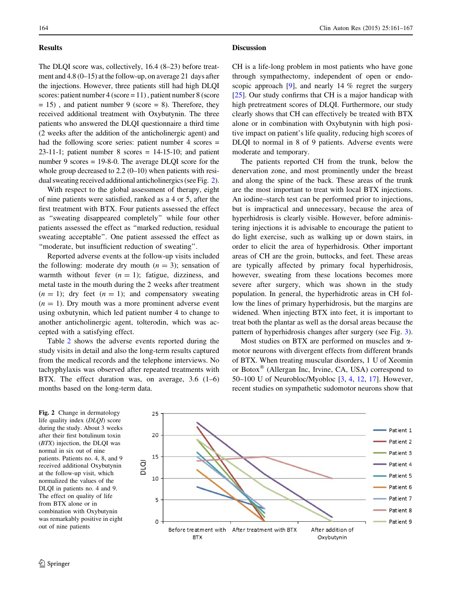## Results

The DLQI score was, collectively, 16.4 (8–23) before treatment and 4.8 (0–15) at the follow-up, on average 21 days after the injections. However, three patients still had high DLQI scores: patient number 4 (score = 11) , patient number 8 (score  $= 15$ ), and patient number 9 (score  $= 8$ ). Therefore, they received additional treatment with Oxybutynin. The three patients who answered the DLQI questionnaire a third time (2 weeks after the addition of the anticholinergic agent) and had the following score series: patient number 4 scores =  $23-11-1$ ; patient number 8 scores = 14-15-10; and patient number 9 scores = 19-8-0. The average DLQI score for the whole group decreased to 2.2 (0–10) when patients with residual sweating received additional anticholinergics (see Fig. 2).

With respect to the global assessment of therapy, eight of nine patients were satisfied, ranked as a 4 or 5, after the first treatment with BTX. Four patients assessed the effect as ''sweating disappeared completely'' while four other patients assessed the effect as ''marked reduction, residual sweating acceptable''. One patient assessed the effect as ''moderate, but insufficient reduction of sweating''.

Reported adverse events at the follow-up visits included the following: moderate dry mouth  $(n = 3)$ ; sensation of warmth without fever  $(n = 1)$ ; fatigue, dizziness, and metal taste in the mouth during the 2 weeks after treatment  $(n = 1)$ ; dry feet  $(n = 1)$ ; and compensatory sweating  $(n = 1)$ . Dry mouth was a more prominent adverse event using oxbutynin, which led patient number 4 to change to another anticholinergic agent, tolterodin, which was accepted with a satisfying effect.

Table [2](#page-4-0) shows the adverse events reported during the study visits in detail and also the long-term results captured from the medical records and the telephone interviews. No tachyphylaxis was observed after repeated treatments with BTX. The effect duration was, on average, 3.6 (1–6) months based on the long-term data.

164 Clin Auton Res (2015) 25:161–167

#### **Discussion**

CH is a life-long problem in most patients who have gone through sympathectomy, independent of open or endoscopic approach [[9\]](#page-5-0), and nearly 14 % regret the surgery [\[25](#page-5-0)]. Our study confirms that CH is a major handicap with high pretreatment scores of DLQI. Furthermore, our study clearly shows that CH can effectively be treated with BTX alone or in combination with Oxybutynin with high positive impact on patient's life quality, reducing high scores of DLQI to normal in 8 of 9 patients. Adverse events were moderate and temporary.

The patients reported CH from the trunk, below the denervation zone, and most prominently under the breast and along the spine of the back. These areas of the trunk are the most important to treat with local BTX injections. An iodine–starch test can be performed prior to injections, but is impractical and unnecessary, because the area of hyperhidrosis is clearly visible. However, before administering injections it is advisable to encourage the patient to do light exercise, such as walking up or down stairs, in order to elicit the area of hyperhidrosis. Other important areas of CH are the groin, buttocks, and feet. These areas are typically affected by primary focal hyperhidrosis, however, sweating from these locations becomes more severe after surgery, which was shown in the study population. In general, the hyperhidrotic areas in CH follow the lines of primary hyperhidrosis, but the margins are widened. When injecting BTX into feet, it is important to treat both the plantar as well as the dorsal areas because the pattern of hyperhidrosis changes after surgery (see Fig. [3](#page-4-0)).

Most studies on BTX are performed on muscles and  $\alpha$ motor neurons with divergent effects from different brands of BTX. When treating muscular disorders, 1 U of Xeomin or Botox® (Allergan Inc, Irvine, CA, USA) correspond to 50–100 U of Neurobloc/Myobloc [[3,](#page-5-0) [4,](#page-5-0) [12](#page-5-0), [17](#page-5-0)]. However, recent studies on sympathetic sudomotor neurons show that

Fig. 2 Change in dermatology life quality index (DLQI) score during the study. About 3 weeks after their first botulinum toxin (BTX) injection, the DLQI was normal in six out of nine patients. Patients no. 4, 8, and 9 received additional Oxybutynin at the follow-up visit, which normalized the values of the DLQI in patients no. 4 and 9. The effect on quality of life from BTX alone or in combination with Oxybutynin was remarkably positive in eight out of nine patients

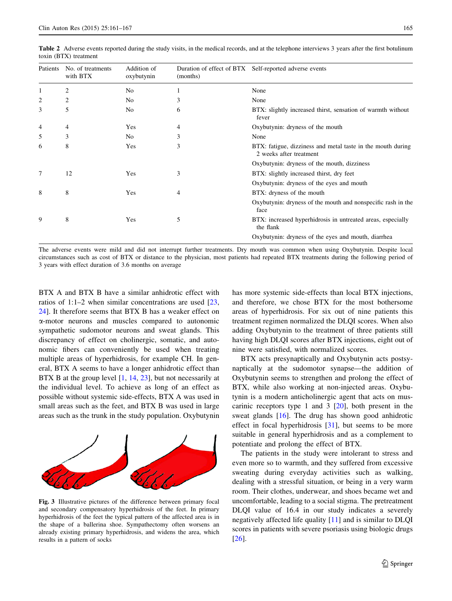| Patients       | No. of treatments<br>with BTX | Addition of<br>oxybutynin | (months) | Duration of effect of BTX Self-reported adverse events                                 |
|----------------|-------------------------------|---------------------------|----------|----------------------------------------------------------------------------------------|
|                | 2                             | No                        |          | None                                                                                   |
| $\overline{2}$ | 2                             | No                        | 3        | None                                                                                   |
| 3              | 5                             | No                        | 6        | BTX: slightly increased thirst, sensation of warmth without<br>fever                   |
| 4              | 4                             | Yes                       | 4        | Oxybutynin: dryness of the mouth                                                       |
| 5              | 3                             | No.                       | 3        | None                                                                                   |
| 6              | 8                             | Yes                       | 3        | BTX: fatigue, dizziness and metal taste in the mouth during<br>2 weeks after treatment |
|                |                               |                           |          | Oxybutynin: dryness of the mouth, dizziness                                            |
| 7              | 12                            | Yes                       | 3        | BTX: slightly increased thirst, dry feet                                               |
|                |                               |                           |          | Oxybutynin: dryness of the eyes and mouth                                              |
| 8              | 8                             | Yes                       | 4        | BTX: dryness of the mouth                                                              |
|                |                               |                           |          | Oxybutynin: dryness of the mouth and nonspecific rash in the<br>face                   |
| 9              | 8                             | Yes                       | 5        | BTX: increased hyperhidrosis in untreated areas, especially<br>the flank               |
|                |                               |                           |          | Oxybutynin: dryness of the eyes and mouth, diarrhea                                    |

<span id="page-4-0"></span>Table 2 Adverse events reported during the study visits, in the medical records, and at the telephone interviews 3 years after the first botulinum toxin (BTX) treatment

The adverse events were mild and did not interrupt further treatments. Dry mouth was common when using Oxybutynin. Despite local circumstances such as cost of BTX or distance to the physician, most patients had repeated BTX treatments during the following period of 3 years with effect duration of 3.6 months on average

BTX A and BTX B have a similar anhidrotic effect with ratios of 1:1–2 when similar concentrations are used [[23,](#page-5-0) [24](#page-5-0)]. It therefore seems that BTX B has a weaker effect on a-motor neurons and muscles compared to autonomic sympathetic sudomotor neurons and sweat glands. This discrepancy of effect on cholinergic, somatic, and autonomic fibers can conveniently be used when treating multiple areas of hyperhidrosis, for example CH. In general, BTX A seems to have a longer anhidrotic effect than BTX B at the group level [[1,](#page-5-0) [14,](#page-5-0) [23](#page-5-0)], but not necessarily at the individual level. To achieve as long of an effect as possible without systemic side-effects, BTX A was used in small areas such as the feet, and BTX B was used in large areas such as the trunk in the study population. Oxybutynin



Fig. 3 Illustrative pictures of the difference between primary focal and secondary compensatory hyperhidrosis of the feet. In primary hyperhidrosis of the feet the typical pattern of the affected area is in the shape of a ballerina shoe. Sympathectomy often worsens an already existing primary hyperhidrosis, and widens the area, which results in a pattern of socks

has more systemic side-effects than local BTX injections, and therefore, we chose BTX for the most bothersome areas of hyperhidrosis. For six out of nine patients this treatment regimen normalized the DLQI scores. When also adding Oxybutynin to the treatment of three patients still having high DLQI scores after BTX injections, eight out of nine were satisfied, with normalized scores.

BTX acts presynaptically and Oxybutynin acts postsynaptically at the sudomotor synapse—the addition of Oxybutynin seems to strengthen and prolong the effect of BTX, while also working at non-injected areas. Oxybutynin is a modern anticholinergic agent that acts on muscarinic receptors type 1 and 3  $[20]$  $[20]$ , both present in the sweat glands [\[16](#page-5-0)]. The drug has shown good anhidrotic effect in focal hyperhidrosis [[31\]](#page-6-0), but seems to be more suitable in general hyperhidrosis and as a complement to potentiate and prolong the effect of BTX.

The patients in the study were intolerant to stress and even more so to warmth, and they suffered from excessive sweating during everyday activities such as walking, dealing with a stressful situation, or being in a very warm room. Their clothes, underwear, and shoes became wet and uncomfortable, leading to a social stigma. The pretreatment DLQI value of 16.4 in our study indicates a severely negatively affected life quality [\[11](#page-5-0)] and is similar to DLQI scores in patients with severe psoriasis using biologic drugs [\[26](#page-5-0)].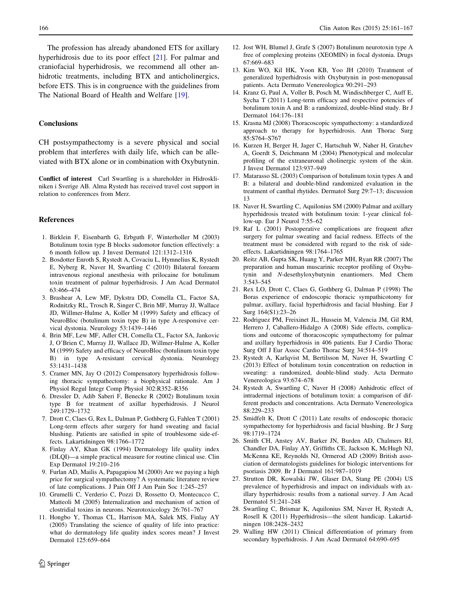<span id="page-5-0"></span>The profession has already abandoned ETS for axillary hyperhidrosis due to its poor effect [21]. For palmar and craniofacial hyperhidrosis, we recommend all other anhidrotic treatments, including BTX and anticholinergics, before ETS. This is in congruence with the guidelines from The National Board of Health and Welfare [19].

### **Conclusions**

CH postsympathectomy is a severe physical and social problem that interferes with daily life, which can be alleviated with BTX alone or in combination with Oxybutynin.

Conflict of interest Carl Swartling is a shareholder in Hidroskliniken i Sverige AB. Alma Rystedt has received travel cost support in relation to conferences from Merz.

#### References

- 1. Birklein F, Eisenbarth G, Erbguth F, Winterholler M (2003) Botulinum toxin type B blocks sudomotor function effectively: a 6 month follow up. J Invest Dermatol 121:1312–1316
- 2. Bosdotter Enroth S, Rystedt A, Covaciu L, Hymnelius K, Rystedt E, Nyberg R, Naver H, Swartling C (2010) Bilateral forearm intravenous regional anesthesia with prilocaine for botulinum toxin treatment of palmar hyperhidrosis. J Am Acad Dermatol 63:466–474
- 3. Brashear A, Lew MF, Dykstra DD, Comella CL, Factor SA, Rodnitzky RL, Trosch R, Singer C, Brin MF, Murray JJ, Wallace JD, Willmer-Hulme A, Koller M (1999) Safety and efficacy of NeuroBloc (botulinum toxin type B) in type A-responsive cervical dystonia. Neurology 53:1439–1446
- 4. Brin MF, Lew MF, Adler CH, Comella CL, Factor SA, Jankovic J, O'Brien C, Murray JJ, Wallace JD, Willmer-Hulme A, Koller M (1999) Safety and efficacy of NeuroBloc (botulinum toxin type B) in type A-resistant cervical dystonia. Neurology 53:1431–1438
- 5. Cramer MN, Jay O (2012) Compensatory hyperhidrosis following thoracic sympathectomy: a biophysical rationale. Am J Physiol Regul Integr Comp Physiol 302:R352–R356
- 6. Dressler D, Adib Saberi F, Benecke R (2002) Botulinum toxin type B for treatment of axillar hyperhidrosis. J Neurol 249:1729–1732
- 7. Drott C, Claes G, Rex L, Dalman P, Gothberg G, Fahlen T (2001) Long-term effects after surgery for hand sweating and facial blushing. Patients are satisfied in spite of troublesome side-effects. Lakartidningen 98:1766–1772
- 8. Finlay AY, Khan GK (1994) Dermatology life quality index (DLQI)—a simple practical measure for routine clinical use. Clin Exp Dermatol 19:210–216
- 9. Furlan AD, Mailis A, Papagapiou M (2000) Are we paying a high price for surgical sympathectomy? A systematic literature review of late complications. J Pain Off J Am Pain Soc 1:245–257
- 10. Grumelli C, Verderio C, Pozzi D, Rossetto O, Montecucco C, Matteoli M (2005) Internalization and mechanism of action of clostridial toxins in neurons. Neurotoxicology 26:761–767
- 11. Hongbo Y, Thomas CL, Harrison MA, Salek MS, Finlay AY (2005) Translating the science of quality of life into practice: what do dermatology life quality index scores mean? J Invest Dermatol 125:659–664
- 12. Jost WH, Blumel J, Grafe S (2007) Botulinum neurotoxin type A free of complexing proteins (XEOMIN) in focal dystonia. Drugs 67:669–683
- 13. Kim WO, Kil HK, Yoon KB, Yoo JH (2010) Treatment of generalized hyperhidrosis with Oxybutynin in post-menopausal patients. Acta Dermato Venereologica 90:291–293
- 14. Kranz G, Paul A, Voller B, Posch M, Windischberger C, Auff E, Sycha T (2011) Long-term efficacy and respective potencies of botulinum toxin A and B: a randomized, double-blind study. Br J Dermatol 164:176–181
- 15. Krasna MJ (2008) Thoracoscopic sympathectomy: a standardized approach to therapy for hyperhidrosis. Ann Thorac Surg 85:S764–S767
- 16. Kurzen H, Berger H, Jager C, Hartschuh W, Naher H, Gratchev A, Goerdt S, Deichmann M (2004) Phenotypical and molecular profiling of the extraneuronal cholinergic system of the skin. J Invest Dermatol 123:937–949
- 17. Matarasso SL (2003) Comparison of botulinum toxin types A and B: a bilateral and double-blind randomized evaluation in the treatment of canthal rhytides. Dermatol Surg 29:7–13; discussion 13
- 18. Naver H, Swartling C, Aquilonius SM (2000) Palmar and axillary hyperhidrosis treated with botulinum toxin: 1-year clinical follow-up. Eur J Neurol 7:55–62
- 19. Raf L (2001) Postoperative complications are frequent after surgery for palmar sweating and facial redness. Effects of the treatment must be considered with regard to the risk of sideeffects. Lakartidningen 98:1764–1765
- 20. Reitz AB, Gupta SK, Huang Y, Parker MH, Ryan RR (2007) The preparation and human muscarinic receptor profiling of Oxybutynin and N-desethyloxybutynin enantiomers. Med Chem 3:543–545
- 21. Rex LO, Drott C, Claes G, Gothberg G, Dalman P (1998) The Boras experience of endoscopic thoracic sympathicotomy for palmar, axillary, facial hyperhidrosis and facial blushing. Eur J Surg 164(S1):23–26
- 22. Rodriguez PM, Freixinet JL, Hussein M, Valencia JM, Gil RM, Herrero J, Caballero-Hidalgo A (2008) Side effects, complications and outcome of thoracoscopic sympathectomy for palmar and axillary hyperhidrosis in 406 patients. Eur J Cardio Thorac Surg Off J Eur Assoc Cardio Thorac Surg 34:514–519
- 23. Rystedt A, Karlqvist M, Bertilsson M, Naver H, Swartling C (2013) Effect of botulinum toxin concentration on reduction in sweating: a randomized, double-blind study. Acta Dermato Venereologica 93:674–678
- 24. Rystedt A, Swartling C, Naver H (2008) Anhidrotic effect of intradermal injections of botulinum toxin: a comparison of different products and concentrations. Acta Dermato Venereologica 88:229–233
- 25. Smidfelt K, Drott C (2011) Late results of endoscopic thoracic sympathectomy for hyperhidrosis and facial blushing. Br J Surg 98:1719–1724
- 26. Smith CH, Anstey AV, Barker JN, Burden AD, Chalmers RJ, Chandler DA, Finlay AY, Griffiths CE, Jackson K, McHugh NJ, McKenna KE, Reynolds NJ, Ormerod AD (2009) British association of dermatologists guidelines for biologic interventions for psoriasis 2009. Br J Dermatol 161:987–1019
- 27. Strutton DR, Kowalski JW, Glaser DA, Stang PE (2004) US prevalence of hyperhidrosis and impact on individuals with axillary hyperhidrosis: results from a national survey. J Am Acad Dermatol 51:241–248
- 28. Swartling C, Brismar K, Aquilonius SM, Naver H, Rystedt A, Rosell K (2011) Hyperhidrosis—the silent handicap. Lakartidningen 108:2428–2432
- 29. Walling HW (2011) Clinical differentiation of primary from secondary hyperhidrosis. J Am Acad Dermatol 64:690–695